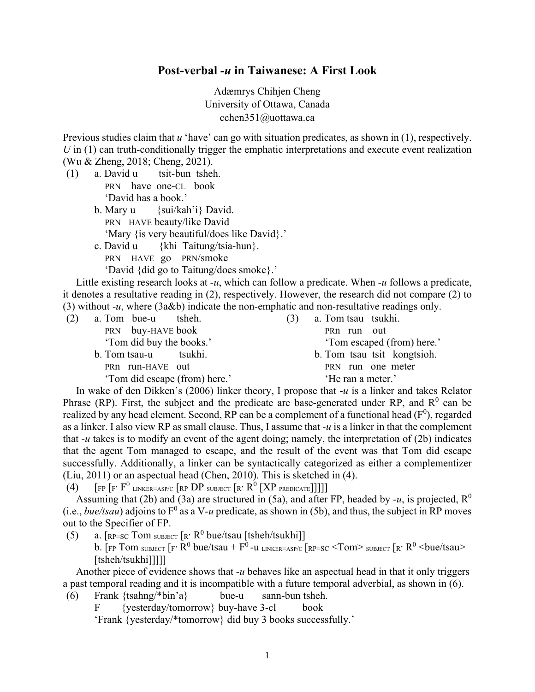## **Post-verbal** *-u* **in Taiwanese: A First Look**

<span id="page-0-0"></span>Adæmrys Chihjen Cheng University of Ottawa, Canada cchen351@uottawa.ca

Previous studies claim that *u* 'have' can go with situation predicates, as shown in (1), respectively. *U* in (1) can truth-conditionally trigger the emphatic interpretations and execute event realization (Wu & Zheng, 2018; Cheng, 2021).

- (1) a. David u tsit-bun tsheh. PRN have one-CL book 'David has a book.'
	- b. Mary u {sui/kah'i} David. PRN HAVE beauty/like David 'Mary {is very beautiful/does like David}.' c. David u {khi Taitung/tsia-hun}.

<span id="page-0-1"></span>PRN HAVE go PRN/smoke

'David {did go to Taitung/does smoke}.'

 Little existing research looks at -*u*, which can follow a predicate. When -*u* follows a predicate, it denotes a resultative reading in [\(2\),](#page-0-0) respectively. However, the research did not compare [\(2\)](#page-0-0) to [\(3\)](#page-0-1) without -*u*, where [\(3a&b\)](#page-0-1) indicate the non-emphatic and non-resultative readings only.

| (2) | a. Tom bue-u tsheh.           | a. Tom tsau tsukhi.<br>(3)  |  |
|-----|-------------------------------|-----------------------------|--|
|     | PRN buy-HAVE book             | PRn run out                 |  |
|     | 'Tom did buy the books.'      | 'Tom escaped (from) here.'  |  |
|     | b. Tom tsau-u tsukhi.         | b. Tom tsau tsit kongtsioh. |  |
|     | PRn run-HAVE out              | PRN run one meter           |  |
|     | 'Tom did escape (from) here.' | 'He ran a meter.'           |  |
|     | .                             |                             |  |

 In wake of den Dikken's (2006) linker theory, I propose that -*u* is a linker and takes Relator Phrase (RP). First, the subject and the predicate are base-generated under RP, and  $R^0$  can be realized by any head element. Second, RP can be a complement of a functional head ( $F^0$ ), regarded as a linker. I also view RP as small clause. Thus, I assume that *-u* is a linker in that the complement that *-u* takes is to modify an event of the agent doing; namely, the interpretation of [\(2b\)](#page-0-0) indicates that the agent Tom managed to escape, and the result of the event was that Tom did escape successfully. Additionally, a linker can be syntactically categorized as either a complementizer (Liu, 2011) or an aspectual head (Chen, 2010). This is sketched in [\(4\).](#page-0-2)

<span id="page-0-2"></span>(4)  $\left[\text{FP}\left[\text{F}'\right]\right]$  LINKER=ASP/C  $\left[\text{RP}\right]$  DP subject  $\left[\text{R}'\right]\left[\text{R}'\right]$  PREDICATE

Assuming that [\(2b\)](#page-0-0) and [\(3a\)](#page-0-1) are structured in [\(5a\),](#page-0-3) and after FP, headed by  $-u$ , is projected,  $\mathbb{R}^0$ (i.e., *bue/tsau*) adjoins to  $F^0$  as a V-u predicate, as shown in [\(5b\),](#page-0-3) and thus, the subject in RP moves out to the Specifier of FP.

<span id="page-0-3"></span>(5) a.  $\left[\text{RP-SC Tom SUBJECT}\left[\text{R}'\right]\text{R}^{0}\text{bue/tsau [tsheh/tsukhi]}\right]$ b. [FP Tom SUBJECT  $\left[ F, \frac{R^0}{R^0} \right]$  bue/tsau +  $F^0$  -u LINKER=ASP/C  $\left[ R^p = SC \right]$   $\le$  Tom> SUBJECT  $\left[ R, R^0 \right]$   $\le$  bue/tsau > [tsheh/tsukhi]]]]]

 Another piece of evidence shows that *-u* behaves like an aspectual head in that it only triggers a past temporal reading and it is incompatible with a future temporal adverbial, as shown in [\(6\).](#page-0-4)

<span id="page-0-4"></span>(6) Frank {tsahng/\*bin'a} bue-u sann-bun tsheh.

F {yesterday/tomorrow} buy-have 3-cl book

'Frank {yesterday/\*tomorrow} did buy 3 books successfully.'